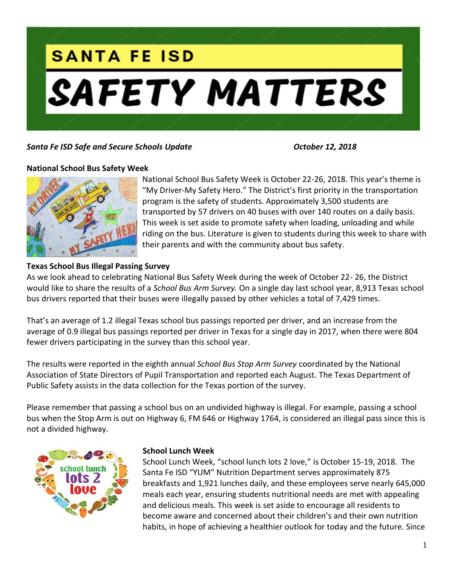

## *Santa Fe ISD Safe and Secure Schools Update October 12, 2018*

### **National School Bus Safety Week**



National School Bus Safety Week is October 22-26, 2018. This year's theme is "My Driver-My Safety Hero." The District's first priority in the transportation program is the safety of students. Approximately 3,500 students are transported by 57 drivers on 40 buses with over 140 routes on a daily basis. This week is set aside to promote safety when loading, unloading and while riding on the bus. Literature is given to students during this week to share with their parents and with the community about bus safety.

### **Texas School Bus Illegal Passing Survey**

As we look ahead to celebrating National Bus Safety Week during the week of October 22- 26, the District would like to share the results of a *School Bus Arm Survey.* On a single day last school year, 8,913 Texas school bus drivers reported that their buses were illegally passed by other vehicles a total of 7,429 times.

That's an average of 1.2 illegal Texas school bus passings reported per driver, and an increase from the average of 0.9 illegal bus passings reported per driver in Texas for a single day in 2017, when there were 804 fewer drivers participating in the survey than this school year.

The results were reported in the eighth annual *School Bus Stop Arm Survey* coordinated by the National Association of State Directors of Pupil Transportation and reported each August. The Texas Department of Public Safety assists in the data collection for the Texas portion of the survey.

Please remember that passing a school bus on an undivided highway is illegal. For example, passing a school bus when the Stop Arm is out on Highway 6, FM 646 or Highway 1764, is considered an illegal pass since this is not a divided highway.



### **School Lunch Week**

School Lunch Week, "school lunch lots 2 love," is October 15-19, 2018. The Santa Fe ISD "YUM" Nutrition Department serves approximately 875 breakfasts and 1,921 lunches daily, and these employees serve nearly 645,000 meals each year, ensuring students nutritional needs are met with appealing and delicious meals. This week is set aside to encourage all residents to become aware and concerned about their children's and their own nutrition habits, in hope of achieving a healthier outlook for today and the future. Since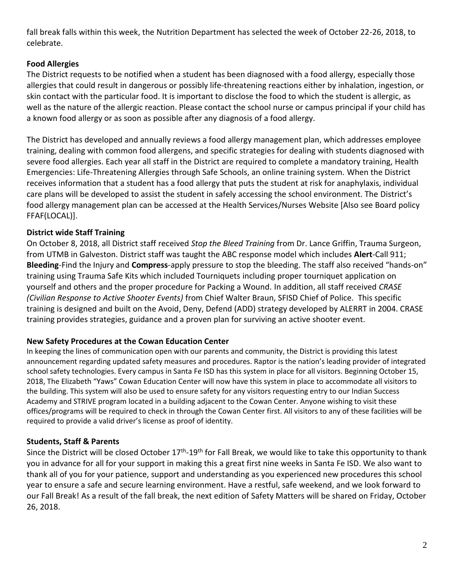fall break falls within this week, the Nutrition Department has selected the week of October 22-26, 2018, to celebrate.

# **Food Allergies**

The District requests to be notified when a student has been diagnosed with a food allergy, especially those allergies that could result in dangerous or possibly life-threatening reactions either by inhalation, ingestion, or skin contact with the particular food. It is important to disclose the food to which the student is allergic, as well as the nature of the allergic reaction. Please contact the school nurse or campus principal if your child has a known food allergy or as soon as possible after any diagnosis of a food allergy.

The District has developed and annually reviews a food allergy management plan, which addresses employee training, dealing with common food allergens, and specific strategies for dealing with students diagnosed with severe food allergies. Each year all staff in the District are required to complete a mandatory training, Health Emergencies: Life-Threatening Allergies through Safe Schools, an online training system. When the District receives information that a student has a food allergy that puts the student at risk for anaphylaxis, individual care plans will be developed to assist the student in safely accessing the school environment. The District's food allergy management plan can be accessed at the Health Services/Nurses Website [Also see Board policy FFAF(LOCAL)].

# **District wide Staff Training**

On October 8, 2018, all District staff received *Stop the Bleed Training* from Dr. Lance Griffin, Trauma Surgeon, from UTMB in Galveston. District staff was taught the ABC response model which includes **Alert**-Call 911; **Bleeding**-Find the Injury and **Compress**-apply pressure to stop the bleeding. The staff also received "hands-on" training using Trauma Safe Kits which included Tourniquets including proper tourniquet application on yourself and others and the proper procedure for Packing a Wound. In addition, all staff received *CRASE (Civilian Response to Active Shooter Events)* from Chief Walter Braun, SFISD Chief of Police. This specific training is designed and built on the Avoid, Deny, Defend (ADD) strategy developed by ALERRT in 2004. CRASE training provides strategies, guidance and a proven plan for surviving an active shooter event.

## **New Safety Procedures at the Cowan Education Center**

In keeping the lines of communication open with our parents and community, the District is providing this latest announcement regarding updated safety measures and procedures. Raptor is the nation's leading provider of integrated school safety technologies. Every campus in Santa Fe ISD has this system in place for all visitors. Beginning October 15, 2018, The Elizabeth "Yaws" Cowan Education Center will now have this system in place to accommodate all visitors to the building. This system will also be used to ensure safety for any visitors requesting entry to our Indian Success Academy and STRIVE program located in a building adjacent to the Cowan Center. Anyone wishing to visit these offices/programs will be required to check in through the Cowan Center first. All visitors to any of these facilities will be required to provide a valid driver's license as proof of identity.

## **Students, Staff & Parents**

Since the District will be closed October 17<sup>th</sup>-19<sup>th</sup> for Fall Break, we would like to take this opportunity to thank you in advance for all for your support in making this a great first nine weeks in Santa Fe ISD. We also want to thank all of you for your patience, support and understanding as you experienced new procedures this school year to ensure a safe and secure learning environment. Have a restful, safe weekend, and we look forward to our Fall Break! As a result of the fall break, the next edition of Safety Matters will be shared on Friday, October 26, 2018.